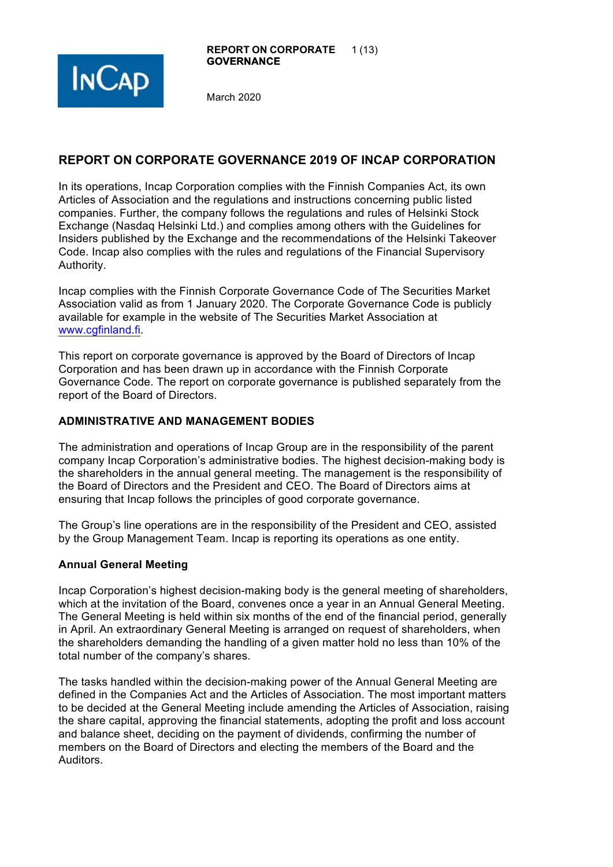

# **REPORT ON CORPORATE GOVERNANCE 2019 OF INCAP CORPORATION**

In its operations, Incap Corporation complies with the Finnish Companies Act, its own Articles of Association and the regulations and instructions concerning public listed companies. Further, the company follows the regulations and rules of Helsinki Stock Exchange (Nasdaq Helsinki Ltd.) and complies among others with the Guidelines for Insiders published by the Exchange and the recommendations of the Helsinki Takeover Code. Incap also complies with the rules and regulations of the Financial Supervisory Authority.

Incap complies with the Finnish Corporate Governance Code of The Securities Market Association valid as from 1 January 2020. The Corporate Governance Code is publicly available for example in the website of The Securities Market Association at www.cgfinland.fi.

This report on corporate governance is approved by the Board of Directors of Incap Corporation and has been drawn up in accordance with the Finnish Corporate Governance Code. The report on corporate governance is published separately from the report of the Board of Directors.

## **ADMINISTRATIVE AND MANAGEMENT BODIES**

The administration and operations of Incap Group are in the responsibility of the parent company Incap Corporation's administrative bodies. The highest decision-making body is the shareholders in the annual general meeting. The management is the responsibility of the Board of Directors and the President and CEO. The Board of Directors aims at ensuring that Incap follows the principles of good corporate governance.

The Group's line operations are in the responsibility of the President and CEO, assisted by the Group Management Team. Incap is reporting its operations as one entity.

## **Annual General Meeting**

Incap Corporation's highest decision-making body is the general meeting of shareholders, which at the invitation of the Board, convenes once a year in an Annual General Meeting. The General Meeting is held within six months of the end of the financial period, generally in April. An extraordinary General Meeting is arranged on request of shareholders, when the shareholders demanding the handling of a given matter hold no less than 10% of the total number of the company's shares.

The tasks handled within the decision-making power of the Annual General Meeting are defined in the Companies Act and the Articles of Association. The most important matters to be decided at the General Meeting include amending the Articles of Association, raising the share capital, approving the financial statements, adopting the profit and loss account and balance sheet, deciding on the payment of dividends, confirming the number of members on the Board of Directors and electing the members of the Board and the Auditors.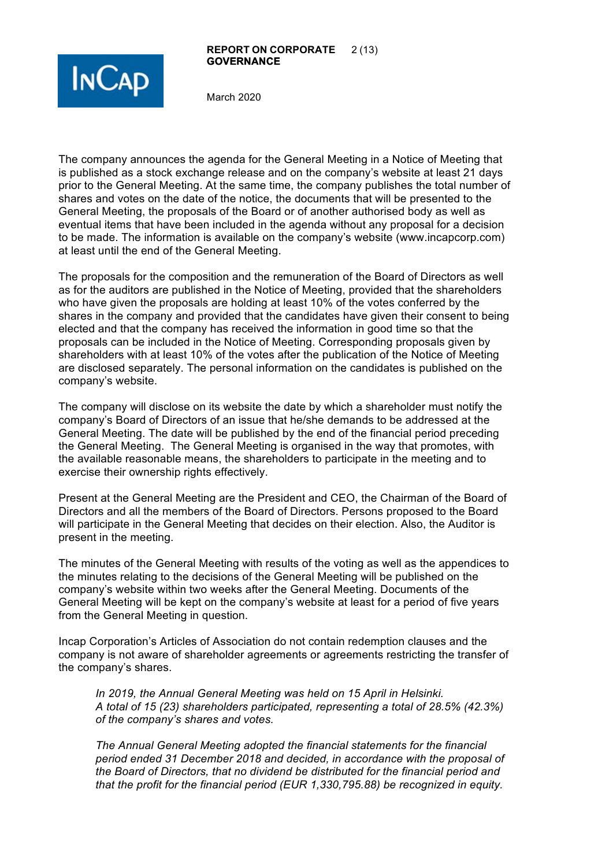#### **REPORT ON CORPORATE** 2 (13) **GOVERNANCE**



March 2020

The company announces the agenda for the General Meeting in a Notice of Meeting that is published as a stock exchange release and on the company's website at least 21 days prior to the General Meeting. At the same time, the company publishes the total number of shares and votes on the date of the notice, the documents that will be presented to the General Meeting, the proposals of the Board or of another authorised body as well as eventual items that have been included in the agenda without any proposal for a decision to be made. The information is available on the company's website (www.incapcorp.com) at least until the end of the General Meeting.

The proposals for the composition and the remuneration of the Board of Directors as well as for the auditors are published in the Notice of Meeting, provided that the shareholders who have given the proposals are holding at least 10% of the votes conferred by the shares in the company and provided that the candidates have given their consent to being elected and that the company has received the information in good time so that the proposals can be included in the Notice of Meeting. Corresponding proposals given by shareholders with at least 10% of the votes after the publication of the Notice of Meeting are disclosed separately. The personal information on the candidates is published on the company's website.

The company will disclose on its website the date by which a shareholder must notify the company's Board of Directors of an issue that he/she demands to be addressed at the General Meeting. The date will be published by the end of the financial period preceding the General Meeting. The General Meeting is organised in the way that promotes, with the available reasonable means, the shareholders to participate in the meeting and to exercise their ownership rights effectively.

Present at the General Meeting are the President and CEO, the Chairman of the Board of Directors and all the members of the Board of Directors. Persons proposed to the Board will participate in the General Meeting that decides on their election. Also, the Auditor is present in the meeting.

The minutes of the General Meeting with results of the voting as well as the appendices to the minutes relating to the decisions of the General Meeting will be published on the company's website within two weeks after the General Meeting. Documents of the General Meeting will be kept on the company's website at least for a period of five years from the General Meeting in question.

Incap Corporation's Articles of Association do not contain redemption clauses and the company is not aware of shareholder agreements or agreements restricting the transfer of the company's shares.

*In 2019, the Annual General Meeting was held on 15 April in Helsinki. A total of 15 (23) shareholders participated, representing a total of 28.5% (42.3%) of the company's shares and votes.*

*The Annual General Meeting adopted the financial statements for the financial period ended 31 December 2018 and decided, in accordance with the proposal of the Board of Directors, that no dividend be distributed for the financial period and that the profit for the financial period (EUR 1,330,795.88) be recognized in equity.*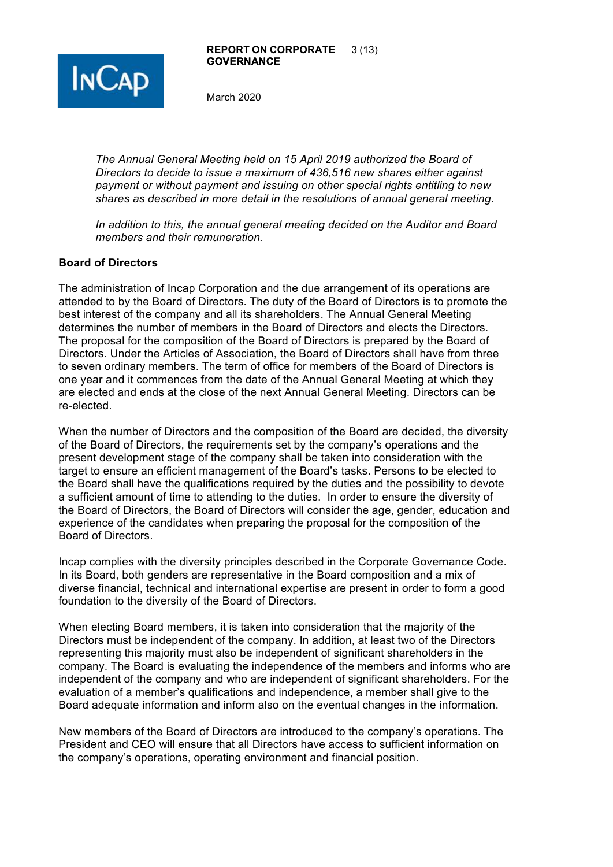

*The Annual General Meeting held on 15 April 2019 authorized the Board of Directors to decide to issue a maximum of 436,516 new shares either against payment or without payment and issuing on other special rights entitling to new shares as described in more detail in the resolutions of annual general meeting.* 

*In addition to this, the annual general meeting decided on the Auditor and Board members and their remuneration.* 

#### **Board of Directors**

The administration of Incap Corporation and the due arrangement of its operations are attended to by the Board of Directors. The duty of the Board of Directors is to promote the best interest of the company and all its shareholders. The Annual General Meeting determines the number of members in the Board of Directors and elects the Directors. The proposal for the composition of the Board of Directors is prepared by the Board of Directors. Under the Articles of Association, the Board of Directors shall have from three to seven ordinary members. The term of office for members of the Board of Directors is one year and it commences from the date of the Annual General Meeting at which they are elected and ends at the close of the next Annual General Meeting. Directors can be re-elected.

When the number of Directors and the composition of the Board are decided, the diversity of the Board of Directors, the requirements set by the company's operations and the present development stage of the company shall be taken into consideration with the target to ensure an efficient management of the Board's tasks. Persons to be elected to the Board shall have the qualifications required by the duties and the possibility to devote a sufficient amount of time to attending to the duties. In order to ensure the diversity of the Board of Directors, the Board of Directors will consider the age, gender, education and experience of the candidates when preparing the proposal for the composition of the Board of Directors.

Incap complies with the diversity principles described in the Corporate Governance Code. In its Board, both genders are representative in the Board composition and a mix of diverse financial, technical and international expertise are present in order to form a good foundation to the diversity of the Board of Directors.

When electing Board members, it is taken into consideration that the majority of the Directors must be independent of the company. In addition, at least two of the Directors representing this majority must also be independent of significant shareholders in the company. The Board is evaluating the independence of the members and informs who are independent of the company and who are independent of significant shareholders. For the evaluation of a member's qualifications and independence, a member shall give to the Board adequate information and inform also on the eventual changes in the information.

New members of the Board of Directors are introduced to the company's operations. The President and CEO will ensure that all Directors have access to sufficient information on the company's operations, operating environment and financial position.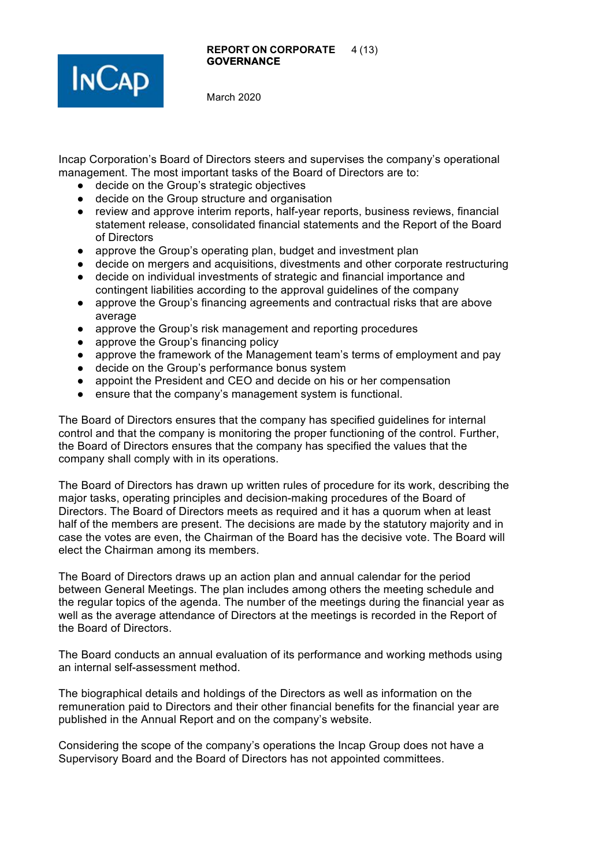



Incap Corporation's Board of Directors steers and supervises the company's operational management. The most important tasks of the Board of Directors are to:

- decide on the Group's strategic objectives
- decide on the Group structure and organisation
- review and approve interim reports, half-year reports, business reviews, financial statement release, consolidated financial statements and the Report of the Board of Directors
- approve the Group's operating plan, budget and investment plan
- decide on mergers and acquisitions, divestments and other corporate restructuring
- decide on individual investments of strategic and financial importance and contingent liabilities according to the approval guidelines of the company
- approve the Group's financing agreements and contractual risks that are above average
- approve the Group's risk management and reporting procedures
- approve the Group's financing policy
- approve the framework of the Management team's terms of employment and pay
- decide on the Group's performance bonus system
- appoint the President and CEO and decide on his or her compensation
- ensure that the company's management system is functional.

The Board of Directors ensures that the company has specified guidelines for internal control and that the company is monitoring the proper functioning of the control. Further, the Board of Directors ensures that the company has specified the values that the company shall comply with in its operations.

The Board of Directors has drawn up written rules of procedure for its work, describing the major tasks, operating principles and decision-making procedures of the Board of Directors. The Board of Directors meets as required and it has a quorum when at least half of the members are present. The decisions are made by the statutory majority and in case the votes are even, the Chairman of the Board has the decisive vote. The Board will elect the Chairman among its members.

The Board of Directors draws up an action plan and annual calendar for the period between General Meetings. The plan includes among others the meeting schedule and the regular topics of the agenda. The number of the meetings during the financial year as well as the average attendance of Directors at the meetings is recorded in the Report of the Board of Directors.

The Board conducts an annual evaluation of its performance and working methods using an internal self-assessment method.

The biographical details and holdings of the Directors as well as information on the remuneration paid to Directors and their other financial benefits for the financial year are published in the Annual Report and on the company's website.

Considering the scope of the company's operations the Incap Group does not have a Supervisory Board and the Board of Directors has not appointed committees.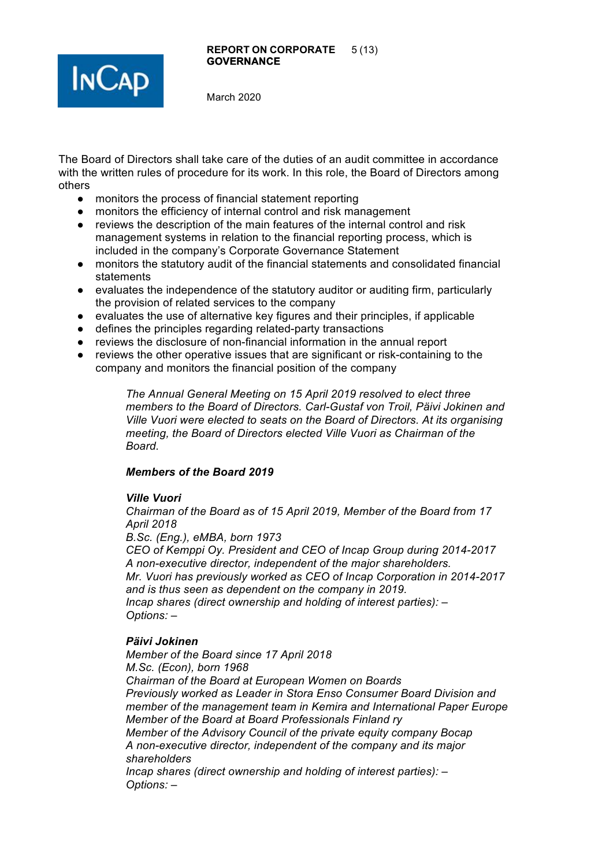



The Board of Directors shall take care of the duties of an audit committee in accordance with the written rules of procedure for its work. In this role, the Board of Directors among others

- monitors the process of financial statement reporting
- monitors the efficiency of internal control and risk management
- reviews the description of the main features of the internal control and risk management systems in relation to the financial reporting process, which is included in the company's Corporate Governance Statement
- monitors the statutory audit of the financial statements and consolidated financial statements
- evaluates the independence of the statutory auditor or auditing firm, particularly the provision of related services to the company
- evaluates the use of alternative key figures and their principles, if applicable
- defines the principles regarding related-party transactions
- reviews the disclosure of non-financial information in the annual report
- reviews the other operative issues that are significant or risk-containing to the company and monitors the financial position of the company

*The Annual General Meeting on 15 April 2019 resolved to elect three members to the Board of Directors. Carl-Gustaf von Troil, Päivi Jokinen and Ville Vuori were elected to seats on the Board of Directors. At its organising meeting, the Board of Directors elected Ville Vuori as Chairman of the Board.* 

#### *Members of the Board 2019*

#### *Ville Vuori*

*Chairman of the Board as of 15 April 2019, Member of the Board from 17 April 2018*

*B.Sc. (Eng.), eMBA, born 1973*

*CEO of Kemppi Oy. President and CEO of Incap Group during 2014-2017 A non-executive director, independent of the major shareholders. Mr. Vuori has previously worked as CEO of Incap Corporation in 2014-2017 and is thus seen as dependent on the company in 2019. Incap shares (direct ownership and holding of interest parties): – Options: –*

#### *Päivi Jokinen*

*Member of the Board since 17 April 2018 M.Sc. (Econ), born 1968 Chairman of the Board at European Women on Boards Previously worked as Leader in Stora Enso Consumer Board Division and member of the management team in Kemira and International Paper Europe Member of the Board at Board Professionals Finland ry Member of the Advisory Council of the private equity company Bocap A non-executive director, independent of the company and its major shareholders Incap shares (direct ownership and holding of interest parties): – Options: –*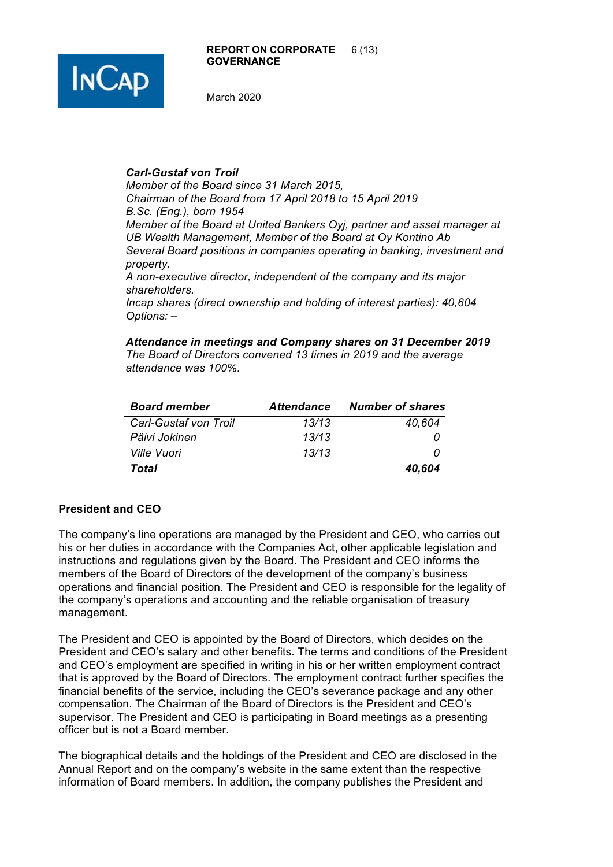

#### *Carl-Gustaf von Troil*

*Options: –*

*Member of the Board since 31 March 2015, Chairman of the Board from 17 April 2018 to 15 April 2019 B.Sc. (Eng.), born 1954 Member of the Board at United Bankers Oyj, partner and asset manager at UB Wealth Management, Member of the Board at Oy Kontino Ab Several Board positions in companies operating in banking, investment and property. A non-executive director, independent of the company and its major shareholders. Incap shares (direct ownership and holding of interest parties): 40,604*

*Attendance in meetings and Company shares on 31 December 2019 The Board of Directors convened 13 times in 2019 and the average attendance was 100%.*

| <b>Board member</b>   | <b>Attendance</b> | <b>Number of shares</b> |
|-----------------------|-------------------|-------------------------|
| Carl-Gustaf von Troil | 13/13             | 40,604                  |
| Päivi Jokinen         | 13/13             |                         |
| Ville Vuori           | 13/13             |                         |
| Total                 |                   | 40,604                  |

## **President and CEO**

The company's line operations are managed by the President and CEO, who carries out his or her duties in accordance with the Companies Act, other applicable legislation and instructions and regulations given by the Board. The President and CEO informs the members of the Board of Directors of the development of the company's business operations and financial position. The President and CEO is responsible for the legality of the company's operations and accounting and the reliable organisation of treasury management.

The President and CEO is appointed by the Board of Directors, which decides on the President and CEO's salary and other benefits. The terms and conditions of the President and CEO's employment are specified in writing in his or her written employment contract that is approved by the Board of Directors. The employment contract further specifies the financial benefits of the service, including the CEO's severance package and any other compensation. The Chairman of the Board of Directors is the President and CEO's supervisor. The President and CEO is participating in Board meetings as a presenting officer but is not a Board member.

The biographical details and the holdings of the President and CEO are disclosed in the Annual Report and on the company's website in the same extent than the respective information of Board members. In addition, the company publishes the President and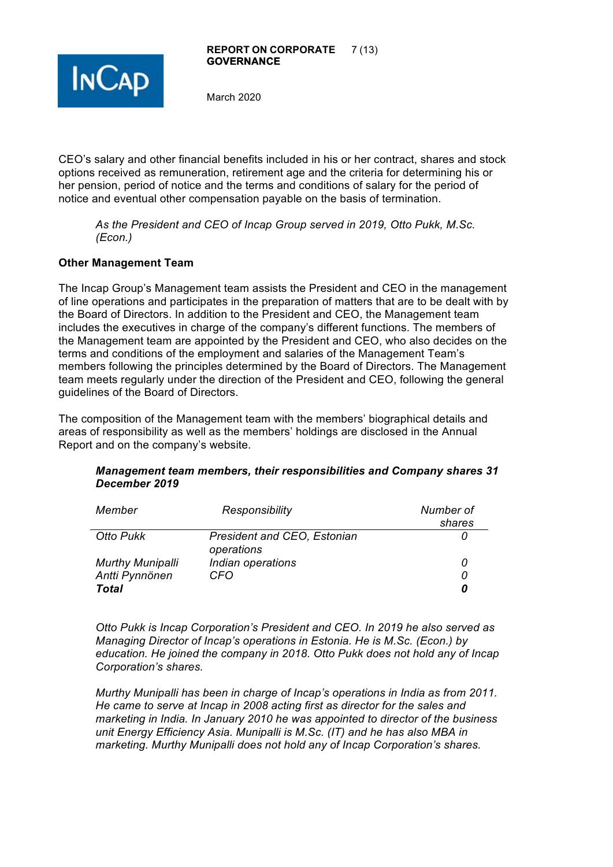

CEO's salary and other financial benefits included in his or her contract, shares and stock options received as remuneration, retirement age and the criteria for determining his or her pension, period of notice and the terms and conditions of salary for the period of notice and eventual other compensation payable on the basis of termination.

*As the President and CEO of Incap Group served in 2019, Otto Pukk, M.Sc. (Econ.)* 

## **Other Management Team**

The Incap Group's Management team assists the President and CEO in the management of line operations and participates in the preparation of matters that are to be dealt with by the Board of Directors. In addition to the President and CEO, the Management team includes the executives in charge of the company's different functions. The members of the Management team are appointed by the President and CEO, who also decides on the terms and conditions of the employment and salaries of the Management Team's members following the principles determined by the Board of Directors. The Management team meets regularly under the direction of the President and CEO, following the general guidelines of the Board of Directors.

The composition of the Management team with the members' biographical details and areas of responsibility as well as the members' holdings are disclosed in the Annual Report and on the company's website.

| Member                  | Responsibility                                   | Number of<br>shares |
|-------------------------|--------------------------------------------------|---------------------|
| Otto Pukk               | <b>President and CEO, Estonian</b><br>operations |                     |
| <b>Murthy Munipalli</b> | Indian operations                                | 0                   |
| Antti Pynnönen          | CFO                                              | 0                   |
| <b>Total</b>            |                                                  | 0                   |

#### *Management team members, their responsibilities and Company shares 31 December 2019*

*Otto Pukk is Incap Corporation's President and CEO. In 2019 he also served as Managing Director of Incap's operations in Estonia. He is M.Sc. (Econ.) by education. He joined the company in 2018. Otto Pukk does not hold any of Incap Corporation's shares.* 

*Murthy Munipalli has been in charge of Incap's operations in India as from 2011. He came to serve at Incap in 2008 acting first as director for the sales and marketing in India. In January 2010 he was appointed to director of the business unit Energy Efficiency Asia. Munipalli is M.Sc. (IT) and he has also MBA in marketing. Murthy Munipalli does not hold any of Incap Corporation's shares.*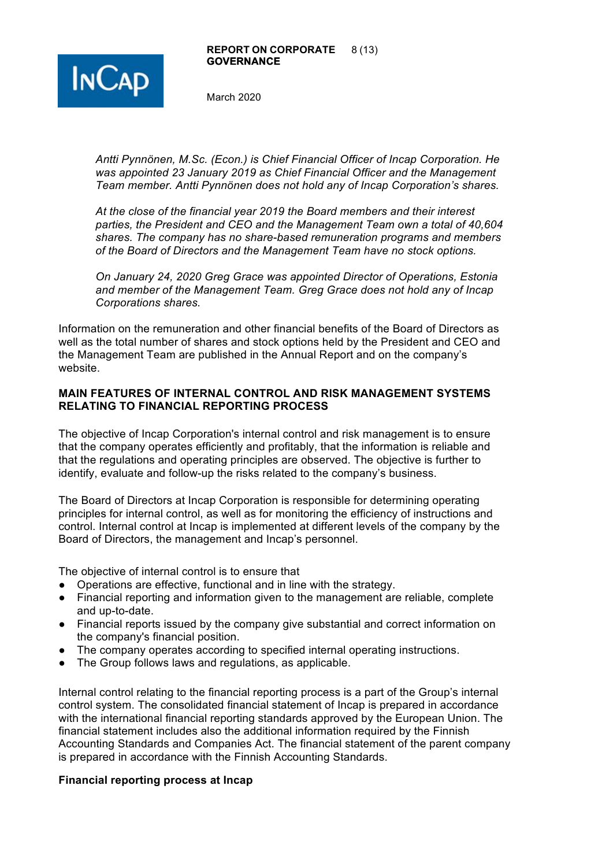

*Antti Pynnönen, M.Sc. (Econ.) is Chief Financial Officer of Incap Corporation. He was appointed 23 January 2019 as Chief Financial Officer and the Management Team member. Antti Pynnönen does not hold any of Incap Corporation's shares.* 

*At the close of the financial year 2019 the Board members and their interest parties, the President and CEO and the Management Team own a total of 40,604 shares. The company has no share-based remuneration programs and members of the Board of Directors and the Management Team have no stock options.*

*On January 24, 2020 Greg Grace was appointed Director of Operations, Estonia and member of the Management Team. Greg Grace does not hold any of Incap Corporations shares.* 

Information on the remuneration and other financial benefits of the Board of Directors as well as the total number of shares and stock options held by the President and CEO and the Management Team are published in the Annual Report and on the company's website.

## **MAIN FEATURES OF INTERNAL CONTROL AND RISK MANAGEMENT SYSTEMS RELATING TO FINANCIAL REPORTING PROCESS**

The objective of Incap Corporation's internal control and risk management is to ensure that the company operates efficiently and profitably, that the information is reliable and that the regulations and operating principles are observed. The objective is further to identify, evaluate and follow-up the risks related to the company's business.

The Board of Directors at Incap Corporation is responsible for determining operating principles for internal control, as well as for monitoring the efficiency of instructions and control. Internal control at Incap is implemented at different levels of the company by the Board of Directors, the management and Incap's personnel.

The objective of internal control is to ensure that

- Operations are effective, functional and in line with the strategy.
- Financial reporting and information given to the management are reliable, complete and up-to-date.
- Financial reports issued by the company give substantial and correct information on the company's financial position.
- The company operates according to specified internal operating instructions.
- The Group follows laws and regulations, as applicable.

Internal control relating to the financial reporting process is a part of the Group's internal control system. The consolidated financial statement of Incap is prepared in accordance with the international financial reporting standards approved by the European Union. The financial statement includes also the additional information required by the Finnish Accounting Standards and Companies Act. The financial statement of the parent company is prepared in accordance with the Finnish Accounting Standards.

## **Financial reporting process at Incap**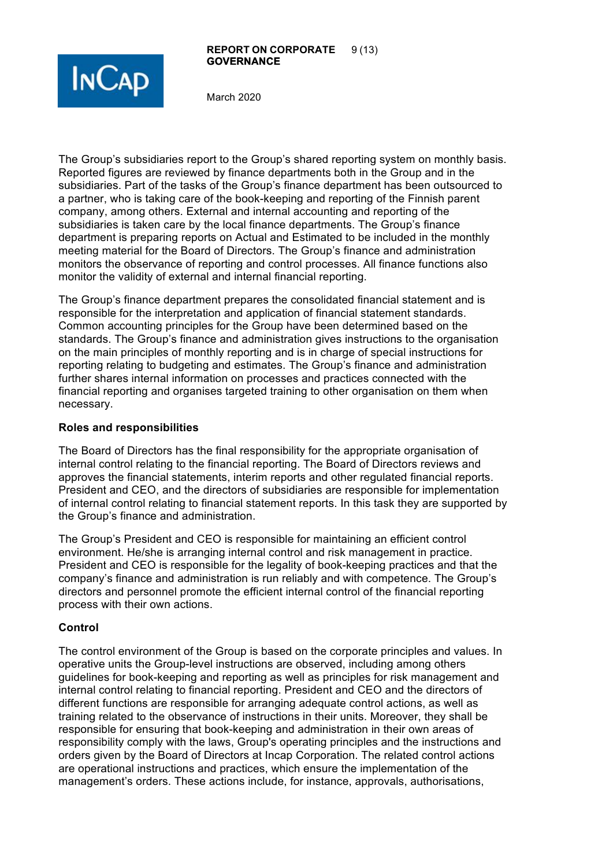#### **REPORT ON CORPORATE** 9 (13) **GOVERNANCE**



March 2020

The Group's subsidiaries report to the Group's shared reporting system on monthly basis. Reported figures are reviewed by finance departments both in the Group and in the subsidiaries. Part of the tasks of the Group's finance department has been outsourced to a partner, who is taking care of the book-keeping and reporting of the Finnish parent company, among others. External and internal accounting and reporting of the subsidiaries is taken care by the local finance departments. The Group's finance department is preparing reports on Actual and Estimated to be included in the monthly meeting material for the Board of Directors. The Group's finance and administration monitors the observance of reporting and control processes. All finance functions also monitor the validity of external and internal financial reporting.

The Group's finance department prepares the consolidated financial statement and is responsible for the interpretation and application of financial statement standards. Common accounting principles for the Group have been determined based on the standards. The Group's finance and administration gives instructions to the organisation on the main principles of monthly reporting and is in charge of special instructions for reporting relating to budgeting and estimates. The Group's finance and administration further shares internal information on processes and practices connected with the financial reporting and organises targeted training to other organisation on them when necessary.

#### **Roles and responsibilities**

The Board of Directors has the final responsibility for the appropriate organisation of internal control relating to the financial reporting. The Board of Directors reviews and approves the financial statements, interim reports and other regulated financial reports. President and CEO, and the directors of subsidiaries are responsible for implementation of internal control relating to financial statement reports. In this task they are supported by the Group's finance and administration.

The Group's President and CEO is responsible for maintaining an efficient control environment. He/she is arranging internal control and risk management in practice. President and CEO is responsible for the legality of book-keeping practices and that the company's finance and administration is run reliably and with competence. The Group's directors and personnel promote the efficient internal control of the financial reporting process with their own actions.

## **Control**

The control environment of the Group is based on the corporate principles and values. In operative units the Group-level instructions are observed, including among others guidelines for book-keeping and reporting as well as principles for risk management and internal control relating to financial reporting. President and CEO and the directors of different functions are responsible for arranging adequate control actions, as well as training related to the observance of instructions in their units. Moreover, they shall be responsible for ensuring that book-keeping and administration in their own areas of responsibility comply with the laws, Group's operating principles and the instructions and orders given by the Board of Directors at Incap Corporation. The related control actions are operational instructions and practices, which ensure the implementation of the management's orders. These actions include, for instance, approvals, authorisations,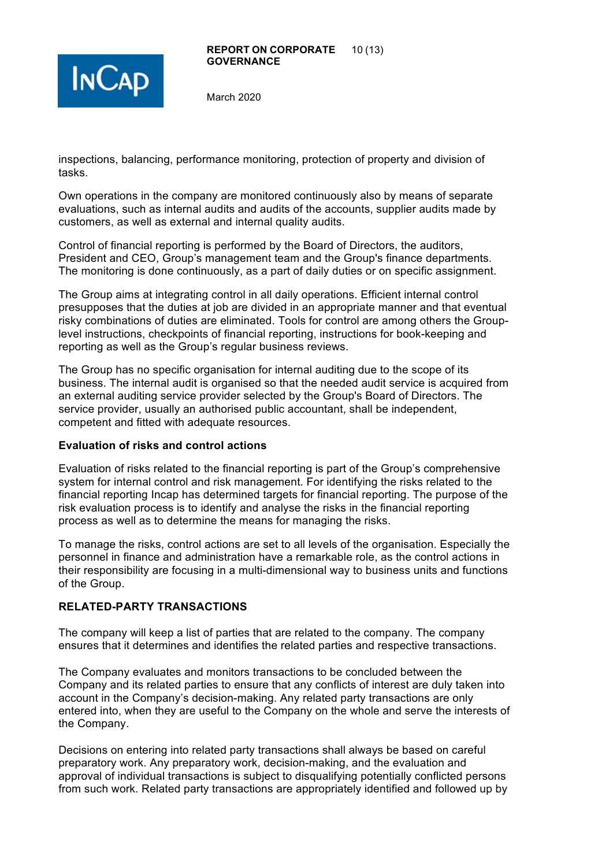

inspections, balancing, performance monitoring, protection of property and division of tasks.

Own operations in the company are monitored continuously also by means of separate evaluations, such as internal audits and audits of the accounts, supplier audits made by customers, as well as external and internal quality audits.

Control of financial reporting is performed by the Board of Directors, the auditors, President and CEO, Group's management team and the Group's finance departments. The monitoring is done continuously, as a part of daily duties or on specific assignment.

The Group aims at integrating control in all daily operations. Efficient internal control presupposes that the duties at job are divided in an appropriate manner and that eventual risky combinations of duties are eliminated. Tools for control are among others the Grouplevel instructions, checkpoints of financial reporting, instructions for book-keeping and reporting as well as the Group's regular business reviews.

The Group has no specific organisation for internal auditing due to the scope of its business. The internal audit is organised so that the needed audit service is acquired from an external auditing service provider selected by the Group's Board of Directors. The service provider, usually an authorised public accountant, shall be independent, competent and fitted with adequate resources.

## **Evaluation of risks and control actions**

Evaluation of risks related to the financial reporting is part of the Group's comprehensive system for internal control and risk management. For identifying the risks related to the financial reporting Incap has determined targets for financial reporting. The purpose of the risk evaluation process is to identify and analyse the risks in the financial reporting process as well as to determine the means for managing the risks.

To manage the risks, control actions are set to all levels of the organisation. Especially the personnel in finance and administration have a remarkable role, as the control actions in their responsibility are focusing in a multi-dimensional way to business units and functions of the Group.

# **RELATED-PARTY TRANSACTIONS**

The company will keep a list of parties that are related to the company. The company ensures that it determines and identifies the related parties and respective transactions.

The Company evaluates and monitors transactions to be concluded between the Company and its related parties to ensure that any conflicts of interest are duly taken into account in the Company's decision-making. Any related party transactions are only entered into, when they are useful to the Company on the whole and serve the interests of the Company.

Decisions on entering into related party transactions shall always be based on careful preparatory work. Any preparatory work, decision-making, and the evaluation and approval of individual transactions is subject to disqualifying potentially conflicted persons from such work. Related party transactions are appropriately identified and followed up by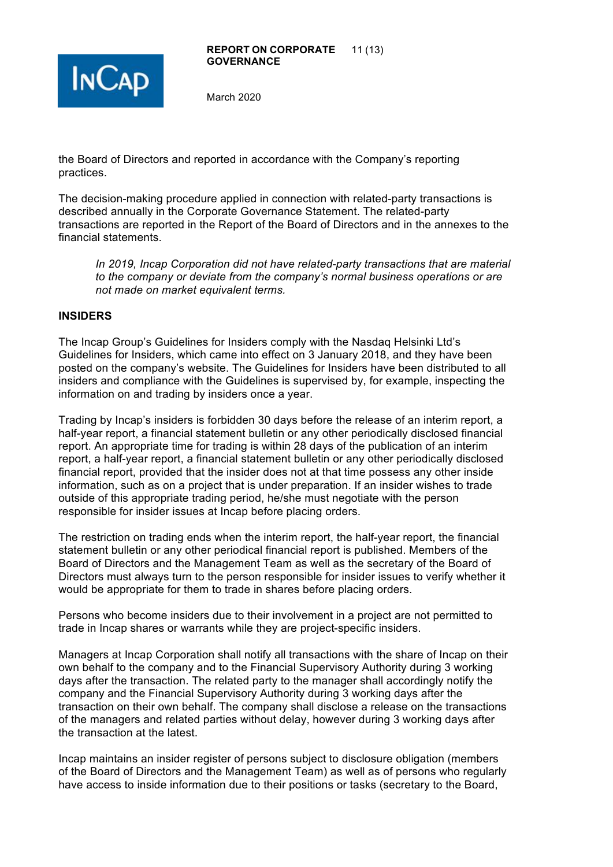



the Board of Directors and reported in accordance with the Company's reporting practices.

The decision-making procedure applied in connection with related-party transactions is described annually in the Corporate Governance Statement. The related-party transactions are reported in the Report of the Board of Directors and in the annexes to the financial statements.

*In 2019, Incap Corporation did not have related-party transactions that are material to the company or deviate from the company's normal business operations or are not made on market equivalent terms.*

## **INSIDERS**

The Incap Group's Guidelines for Insiders comply with the Nasdaq Helsinki Ltd's Guidelines for Insiders, which came into effect on 3 January 2018, and they have been posted on the company's website. The Guidelines for Insiders have been distributed to all insiders and compliance with the Guidelines is supervised by, for example, inspecting the information on and trading by insiders once a year.

Trading by Incap's insiders is forbidden 30 days before the release of an interim report, a half-year report, a financial statement bulletin or any other periodically disclosed financial report. An appropriate time for trading is within 28 days of the publication of an interim report, a half-year report, a financial statement bulletin or any other periodically disclosed financial report, provided that the insider does not at that time possess any other inside information, such as on a project that is under preparation. If an insider wishes to trade outside of this appropriate trading period, he/she must negotiate with the person responsible for insider issues at Incap before placing orders.

The restriction on trading ends when the interim report, the half-year report, the financial statement bulletin or any other periodical financial report is published. Members of the Board of Directors and the Management Team as well as the secretary of the Board of Directors must always turn to the person responsible for insider issues to verify whether it would be appropriate for them to trade in shares before placing orders.

Persons who become insiders due to their involvement in a project are not permitted to trade in Incap shares or warrants while they are project-specific insiders.

Managers at Incap Corporation shall notify all transactions with the share of Incap on their own behalf to the company and to the Financial Supervisory Authority during 3 working days after the transaction. The related party to the manager shall accordingly notify the company and the Financial Supervisory Authority during 3 working days after the transaction on their own behalf. The company shall disclose a release on the transactions of the managers and related parties without delay, however during 3 working days after the transaction at the latest.

Incap maintains an insider register of persons subject to disclosure obligation (members of the Board of Directors and the Management Team) as well as of persons who regularly have access to inside information due to their positions or tasks (secretary to the Board,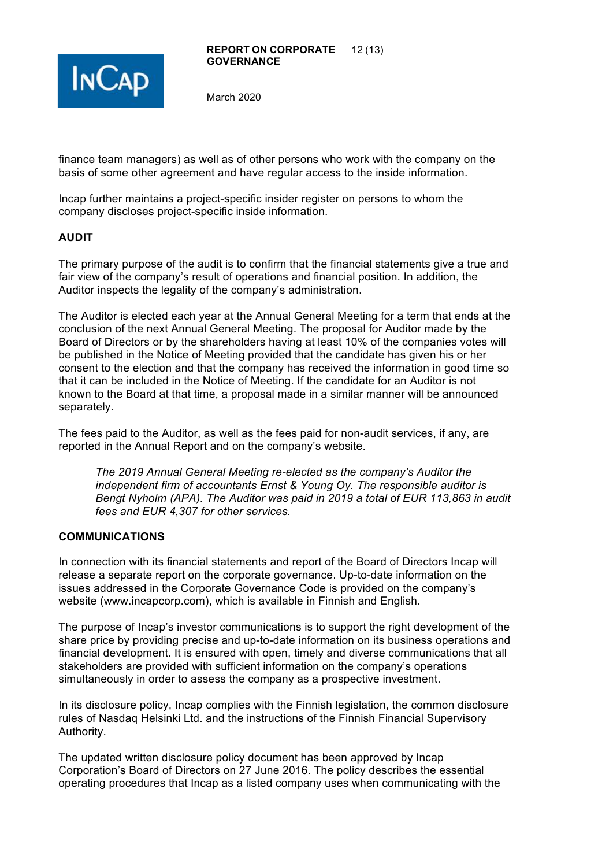

finance team managers) as well as of other persons who work with the company on the basis of some other agreement and have regular access to the inside information.

Incap further maintains a project-specific insider register on persons to whom the company discloses project-specific inside information.

# **AUDIT**

The primary purpose of the audit is to confirm that the financial statements give a true and fair view of the company's result of operations and financial position. In addition, the Auditor inspects the legality of the company's administration.

The Auditor is elected each year at the Annual General Meeting for a term that ends at the conclusion of the next Annual General Meeting. The proposal for Auditor made by the Board of Directors or by the shareholders having at least 10% of the companies votes will be published in the Notice of Meeting provided that the candidate has given his or her consent to the election and that the company has received the information in good time so that it can be included in the Notice of Meeting. If the candidate for an Auditor is not known to the Board at that time, a proposal made in a similar manner will be announced separately.

The fees paid to the Auditor, as well as the fees paid for non-audit services, if any, are reported in the Annual Report and on the company's website.

*The 2019 Annual General Meeting re-elected as the company's Auditor the independent firm of accountants Ernst & Young Oy. The responsible auditor is Bengt Nyholm (APA). The Auditor was paid in 2019 a total of EUR 113,863 in audit fees and EUR 4,307 for other services.*

# **COMMUNICATIONS**

In connection with its financial statements and report of the Board of Directors Incap will release a separate report on the corporate governance. Up-to-date information on the issues addressed in the Corporate Governance Code is provided on the company's website (www.incapcorp.com), which is available in Finnish and English.

The purpose of Incap's investor communications is to support the right development of the share price by providing precise and up-to-date information on its business operations and financial development. It is ensured with open, timely and diverse communications that all stakeholders are provided with sufficient information on the company's operations simultaneously in order to assess the company as a prospective investment.

In its disclosure policy, Incap complies with the Finnish legislation, the common disclosure rules of Nasdaq Helsinki Ltd. and the instructions of the Finnish Financial Supervisory Authority.

The updated written disclosure policy document has been approved by Incap Corporation's Board of Directors on 27 June 2016. The policy describes the essential operating procedures that Incap as a listed company uses when communicating with the